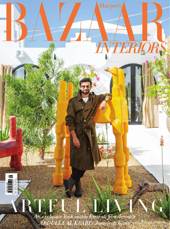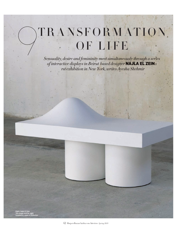## TRANSFORMATION. OF LIFE

*Sensuality, desire and femininity meet simultaneously through a series of interactive displays in Beirut based designer* NAJLA EL ZEIN s  *rst exhibition in New York, writes Ayesha Shehmir*

Right: Najla El Zein This image and far right: Installation views of *Distortion*